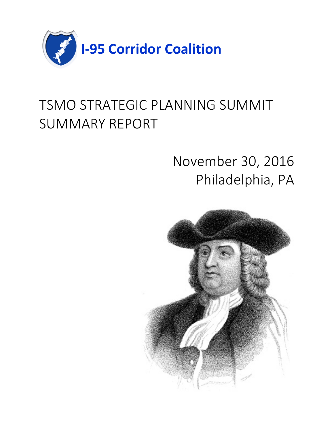

# TSMO STRATEGIC PLANNING SUMMIT SUMMARY REPORT

# November 30, 2016 Philadelphia, PA

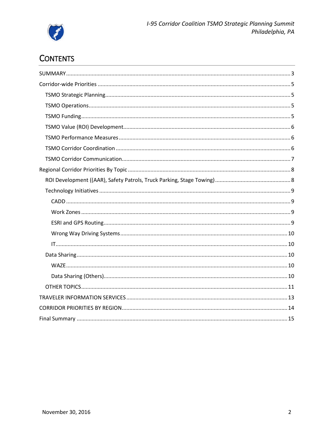

# **CONTENTS**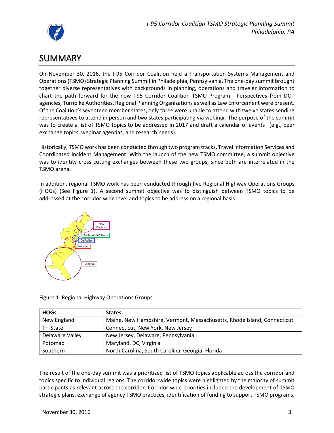

# <span id="page-2-0"></span>**SUMMARY**

On November 30, 2016, the I-95 Corridor Coalition held a Transportation Systems Management and Operations (TSMO) Strategic Planning Summit in Philadelphia, Pennsylvania. The one-day summit brought together diverse representatives with backgrounds in planning, operations and traveler information to chart the path forward for the new I-95 Corridor Coalition TSMO Program. Perspectives from DOT agencies, Turnpike Authorities, Regional Planning Organizations as well as Law Enforcement were present. Of the Coalition's seventeen member states, only three were unable to attend with twelve states sending representatives to attend in person and two states participating via webinar. The purpose of the summit was to create a list of TSMO topics to be addressed in 2017 and draft a calendar of events (e.g., peer exchange topics, webinar agendas, and research needs).

Historically, TSMO work has been conducted through two program tracks, Travel Information Services and Coordinated Incident Management. With the launch of the new TSMO committee, a summit objective was to identity cross cutting exchanges between these two groups, since both are interrelated in the TSMO arena.

In addition, regional TSMO work has been conducted through five Regional Highway Operations Groups (HOGs) (See Figure 1). A second summit objective was to distinguish between TSMO topics to be addressed at the corridor-wide level and topics to be address on a regional basis.



Figure 1. Regional Highway Operations Groups

| <b>HOGs</b>     | <b>States</b>                                                           |
|-----------------|-------------------------------------------------------------------------|
| New England     | Maine, New Hampshire, Vermont, Massachusetts, Rhode Island, Connecticut |
| Tri-State       | Connecticut, New York, New Jersey                                       |
| Delaware Valley | New Jersey, Delaware, Pennsylvania                                      |
| Potomac         | Maryland, DC, Virginia                                                  |
| Southern        | North Carolina, South Carolina, Georgia, Florida                        |

The result of the one-day summit was a prioritized list of TSMO topics applicable across the corridor and topics specific to individual regions. The corridor-wide topics were highlighted by the majority of summit participants as relevant across the corridor. Corridor-wide priorities included the development of TSMO strategic plans, exchange of agency TSMO practices, identification of funding to support TSMO programs,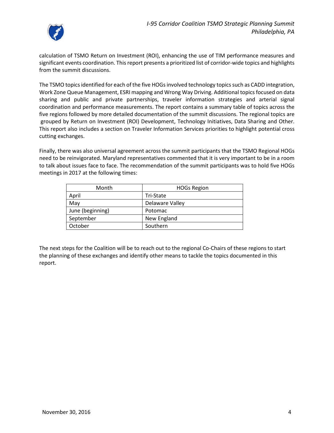

calculation of TSMO Return on Investment (ROI), enhancing the use of TIM performance measures and significant events coordination. This report presents a prioritized list of corridor-wide topics and highlights from the summit discussions.

The TSMO topics identified for each of the five HOGs involved technology topics such as CADD integration, Work Zone Queue Management, ESRI mapping and Wrong Way Driving. Additional topics focused on data sharing and public and private partnerships, traveler information strategies and arterial signal coordination and performance measurements. The report contains a summary table of topics across the five regions followed by more detailed documentation of the summit discussions. The regional topics are grouped by Return on Investment (ROI) Development, Technology Initiatives, Data Sharing and Other. This report also includes a section on Traveler Information Services priorities to highlight potential cross cutting exchanges.

Finally, there was also universal agreement across the summit participants that the TSMO Regional HOGs need to be reinvigorated. Maryland representatives commented that it is very important to be in a room to talk about issues face to face. The recommendation of the summit participants was to hold five HOGs meetings in 2017 at the following times:

| Month            | <b>HOGs Region</b> |  |
|------------------|--------------------|--|
| April            | Tri-State          |  |
| May              | Delaware Valley    |  |
| June (beginning) | Potomac            |  |
| September        | New England        |  |
| October          | Southern           |  |

The next steps for the Coalition will be to reach out to the regional Co-Chairs of these regions to start the planning of these exchanges and identify other means to tackle the topics documented in this report.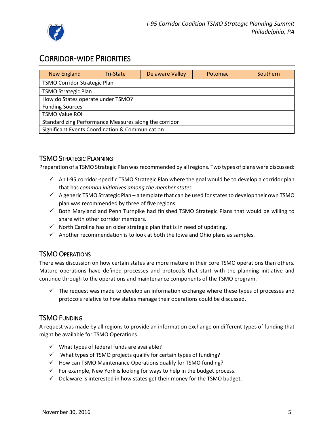

## <span id="page-4-0"></span>CORRIDOR-WIDE PRIORITIES

| <b>New England</b>                                    | Tri-State                  | <b>Delaware Valley</b> | <b>Potomac</b> | Southern |  |  |
|-------------------------------------------------------|----------------------------|------------------------|----------------|----------|--|--|
| <b>TSMO Corridor Strategic Plan</b>                   |                            |                        |                |          |  |  |
|                                                       | <b>TSMO Strategic Plan</b> |                        |                |          |  |  |
| How do States operate under TSMO?                     |                            |                        |                |          |  |  |
| <b>Funding Sources</b>                                |                            |                        |                |          |  |  |
| <b>TSMO Value ROI</b>                                 |                            |                        |                |          |  |  |
| Standardizing Performance Measures along the corridor |                            |                        |                |          |  |  |
| Significant Events Coordination & Communication       |                            |                        |                |          |  |  |

## <span id="page-4-1"></span>TSMO STRATEGIC PLANNING

Preparation of a TSMO Strategic Plan was recommended by all regions. Two types of plans were discussed:

- $\checkmark$  An I-95 corridor-specific TSMO Strategic Plan where the goal would be to develop a corridor plan that has *common initiatives among the member states.*
- $\checkmark$  A generic TSMO Strategic Plan a template that can be used for states to develop their own TSMO plan was recommended by three of five regions.
- $\checkmark$  Both Maryland and Penn Turnpike had finished TSMO Strategic Plans that would be willing to share with other corridor members.
- $\checkmark$  North Carolina has an older strategic plan that is in need of updating.
- $\checkmark$  Another recommendation is to look at both the Iowa and Ohio plans as samples.

### <span id="page-4-2"></span>TSMO OPERATIONS

There was discussion on how certain states are more mature in their core TSMO operations than others. Mature operations have defined processes and protocols that start with the planning initiative and continue through to the operations and maintenance components of the TSMO program.

 $\checkmark$  The request was made to develop an information exchange where these types of processes and protocols relative to how states manage their operations could be discussed.

## <span id="page-4-3"></span>TSMO FUNDING

A request was made by all regions to provide an information exchange on different types of funding that might be available for TSMO Operations.

- $\checkmark$  What types of federal funds are available?
- $\checkmark$  What types of TSMO projects qualify for certain types of funding?
- $\checkmark$  How can TSMO Maintenance Operations qualify for TSMO funding?
- $\checkmark$  For example, New York is looking for ways to help in the budget process.
- $\checkmark$  Delaware is interested in how states get their money for the TSMO budget.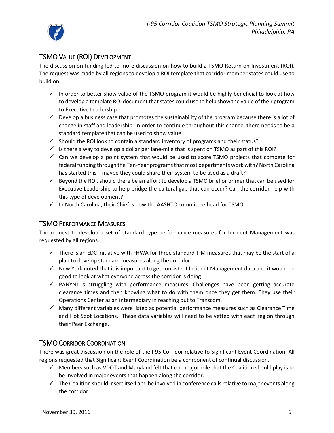

## <span id="page-5-0"></span>TSMO VALUE (ROI) DEVELOPMENT

The discussion on funding led to more discussion on how to build a TSMO Return on Investment (ROI). The request was made by all regions to develop a ROI template that corridor member states could use to build on.

- $\checkmark$  In order to better show value of the TSMO program it would be highly beneficial to look at how to develop a template ROI document that states could use to help show the value of their program to Executive Leadership.
- $\checkmark$  Develop a business case that promotes the sustainability of the program because there is a lot of change in staff and leadership. In order to continue throughout this change, there needs to be a standard template that can be used to show value.
- $\checkmark$  Should the ROI look to contain a standard inventory of programs and their status?
- $\checkmark$  Is there a way to develop a dollar per lane-mile that is spent on TSMO as part of this ROI?
- $\checkmark$  Can we develop a point system that would be used to score TSMO projects that compete for federal funding through the Ten-Year programs that most departments work with? North Carolina has started this – maybe they could share their system to be used as a draft?
- $\checkmark$  Beyond the ROI, should there be an effort to develop a TSMO brief or primer that can be used for Executive Leadership to help bridge the cultural gap that can occur? Can the corridor help with this type of development?
- $\checkmark$  In North Carolina, their Chief is now the AASHTO committee head for TSMO.

### <span id="page-5-1"></span>TSMO PERFORMANCE MEASURES

The request to develop a set of standard type performance measures for Incident Management was requested by all regions.

- $\checkmark$  There is an EDC initiative with FHWA for three standard TIM measures that may be the start of a plan to develop standard measures along the corridor.
- $\checkmark$  New York noted that it is important to get consistent Incident Management data and it would be good to look at what everyone across the corridor is doing.
- $\checkmark$  PANYNJ is struggling with performance measures. Challenges have been getting accurate clearance times and then knowing what to do with them once they get them. They use their Operations Center as an intermediary in reaching out to Transcom.
- $\checkmark$  Many different variables were listed as potential performance measures such as Clearance Time and Hot Spot Locations. These data variables will need to be vetted with each region through their Peer Exchange.

### <span id="page-5-2"></span>TSMO CORRIDOR COORDINATION

There was great discussion on the role of the I-95 Corridor relative to Significant Event Coordination. All regions requested that Significant Event Coordination be a component of continual discussion.

- $\checkmark$  Members such as VDOT and Maryland felt that one major role that the Coalition should play is to be involved in major events that happen along the corridor.
- $\checkmark$  The Coalition should insert itself and be involved in conference calls relative to major events along the corridor.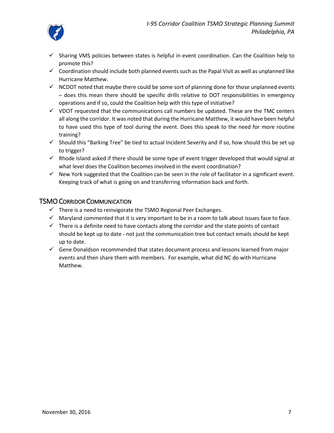

- $\checkmark$  Sharing VMS policies between states is helpful in event coordination. Can the Coalition help to promote this?
- $\checkmark$  Coordination should include both planned events such as the Papal Visit as well as unplanned like Hurricane Matthew.
- $\checkmark$  NCDOT noted that maybe there could be some sort of planning done for those unplanned events – does this mean there should be specific drills relative to DOT responsibilities in emergency operations and if so, could the Coalition help with this type of initiative?
- $\checkmark$  VDOT requested that the communications call numbers be updated. These are the TMC centers all along the corridor. It was noted that during the Hurricane Matthew, it would have been helpful to have used this type of tool during the event. Does this speak to the need for more routine training?
- $\checkmark$  Should this "Barking Tree" be tied to actual Incident Severity and if so, how should this be set up to trigger?
- $\checkmark$  Rhode Island asked if there should be some type of event trigger developed that would signal at what level does the Coalition becomes involved in the event coordination?
- $\checkmark$  New York suggested that the Coalition can be seen in the role of facilitator in a significant event. Keeping track of what is going on and transferring information back and forth.

### <span id="page-6-0"></span>TSMO CORRIDOR COMMUNICATION

- $\checkmark$  There is a need to reinvigorate the TSMO Regional Peer Exchanges.
- $\checkmark$  Maryland commented that it is very important to be in a room to talk about issues face to face.
- $\checkmark$  There is a definite need to have contacts along the corridor and the state points of contact should be kept up to date - not just the communication tree but contact emails should be kept up to date.
- $\checkmark$  Gene Donaldson recommended that states document process and lessons learned from major events and then share them with members. For example, what did NC do with Hurricane Matthew.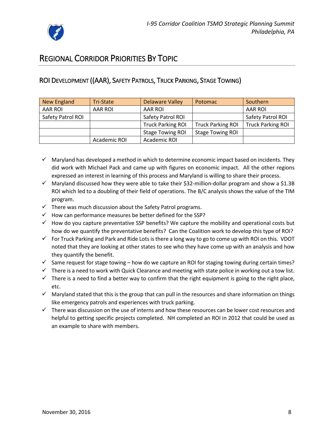

# <span id="page-7-0"></span>REGIONAL CORRIDOR PRIORITIES BY TOPIC

## <span id="page-7-1"></span>ROI DEVELOPMENT ((AAR), SAFETY PATROLS, TRUCK PARKING, STAGE TOWING)

| New England       | <b>Tri-State</b> | <b>Delaware Valley</b>   | Potomac                  | Southern                 |
|-------------------|------------------|--------------------------|--------------------------|--------------------------|
| AAR ROI           | AAR ROI          | AAR ROI                  |                          | AAR ROI                  |
| Safety Patrol ROI |                  | Safety Patrol ROI        |                          | Safety Patrol ROI        |
|                   |                  | <b>Truck Parking ROI</b> | <b>Truck Parking ROI</b> | <b>Truck Parking ROI</b> |
|                   |                  | <b>Stage Towing ROI</b>  | <b>Stage Towing ROI</b>  |                          |
|                   | Academic ROI     | Academic ROI             |                          |                          |

- $\checkmark$  Maryland has developed a method in which to determine economic impact based on incidents. They did work with Michael Pack and came up with figures on economic impact. All the other regions expressed an interest in learning of this process and Maryland is willing to share their process.
- $\checkmark$  Maryland discussed how they were able to take their \$32-million-dollar program and show a \$1.3B ROI which led to a doubling of their field of operations. The B/C analysis shows the value of the TIM program.
- $\checkmark$  There was much discussion about the Safety Patrol programs.
- $\checkmark$  How can performance measures be better defined for the SSP?
- $\checkmark$  How do you capture preventative SSP benefits? We capture the mobility and operational costs but how do we quantify the preventative benefits? Can the Coalition work to develop this type of ROI?
- $\checkmark$  For Truck Parking and Park and Ride Lots is there a long way to go to come up with ROI on this. VDOT noted that they are looking at other states to see who they have come up with an analysis and how they quantify the benefit.
- $\checkmark$  Same request for stage towing how do we capture an ROI for staging towing during certain times?
- $\checkmark$  There is a need to work with Quick Clearance and meeting with state police in working out a tow list.
- $\checkmark$  There is a need to find a better way to confirm that the right equipment is going to the right place, etc.
- $\checkmark$  Maryland stated that this is the group that can pull in the resources and share information on things like emergency patrols and experiences with truck parking.
- $\checkmark$  There was discussion on the use of interns and how these resources can be lower cost resources and helpful to getting specific projects completed. NH completed an ROI in 2012 that could be used as an example to share with members.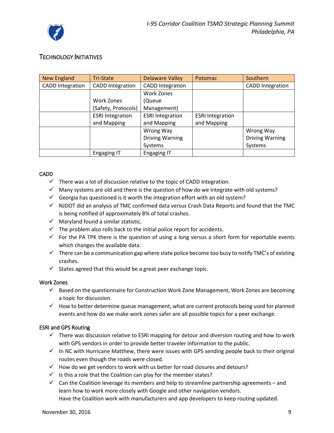

## <span id="page-8-0"></span>TECHNOLOGY INITIATIVES

| New England             | Tri-State               | <b>Delaware Valley</b>  | Potomac                 | Southern                |
|-------------------------|-------------------------|-------------------------|-------------------------|-------------------------|
| <b>CADD</b> Integration | <b>CADD Integration</b> | <b>CADD</b> Integration |                         | <b>CADD Integration</b> |
|                         |                         | Work Zones              |                         |                         |
|                         | Work Zones              | (Queue                  |                         |                         |
|                         | (Safety, Protocols)     | Management)             |                         |                         |
|                         | <b>ESRI Integration</b> | <b>ESRI Integration</b> | <b>ESRI Integration</b> |                         |
|                         | and Mapping             | and Mapping             | and Mapping             |                         |
|                         |                         | Wrong Way               |                         | Wrong Way               |
|                         |                         | <b>Driving Warning</b>  |                         | <b>Driving Warning</b>  |
|                         |                         | Systems                 |                         | Systems                 |
|                         | <b>Engaging IT</b>      | <b>Engaging IT</b>      |                         |                         |

#### <span id="page-8-1"></span>CADD

- $\checkmark$  There was a lot of discussion relative to the topic of CADD Integration.
- $\checkmark$  Many systems are old and there is the question of how do we integrate with old systems?
- $\checkmark$  Georgia has questioned is it worth the integration effort with an old system?
- $\checkmark$  NJDOT did an analysis of TMC confirmed data versus Crash Data Reports and found that the TMC is being notified of approximately 8% of total crashes.
- $\checkmark$  Maryland found a similar statistic.
- $\checkmark$  The problem also rolls back to the initial police report for accidents.
- $\checkmark$  For the PA TPK there is the question of using a long versus a short form for reportable events which changes the available data.
- $\checkmark$  There can be a communication gap where state police become too busy to notify TMC's of existing crashes.
- $\checkmark$  States agreed that this would be a great peer exchange topic.

#### <span id="page-8-2"></span>Work Zones

- $\checkmark$  Based on the questionnaire for Construction Work Zone Management, Work Zones are becoming a topic for discussion.
- $\checkmark$  How to better determine queue management, what are current protocols being used for planned events and how do we make work zones safer are all possible topics for a peer exchange.

#### <span id="page-8-3"></span>ESRI and GPS Routing

- $\checkmark$  There was discussion relative to ESRI mapping for detour and diversion routing and how to work with GPS vendors in order to provide better traveler information to the public.
- $\checkmark$  In NC with Hurricane Matthew, there were issues with GPS sending people back to their original routes even though the roads were closed.
- $\checkmark$  How do we get vendors to work with us better for road closures and detours?
- $\checkmark$  Is this a role that the Coalition can play for the member states?
- $\checkmark$  Can the Coalition leverage its members and help to streamline partnership agreements and learn how to work more closely with Google and other navigation vendors. Have the Coalition work with manufacturers and app developers to keep routing updated.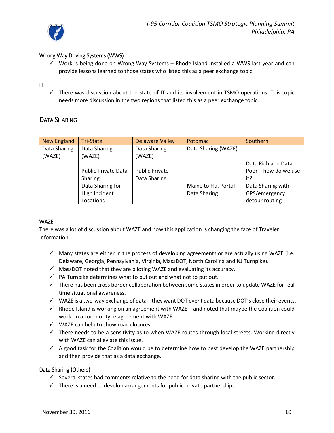

#### <span id="page-9-0"></span>Wrong Way Driving Systems (WWS)

 $\checkmark$  Work is being done on Wrong Way Systems – Rhode Island installed a WWS last year and can provide lessons learned to those states who listed this as a peer exchange topic.

#### <span id="page-9-1"></span>IT

 $\checkmark$  There was discussion about the state of IT and its involvement in TSMO operations. This topic needs more discussion in the two regions that listed this as a peer exchange topic.

#### <span id="page-9-2"></span>DATA SHARING

| New England  | Tri-State                  | <b>Delaware Valley</b> | Potomac              | Southern             |
|--------------|----------------------------|------------------------|----------------------|----------------------|
| Data Sharing | Data Sharing               | Data Sharing           | Data Sharing (WAZE)  |                      |
| (WAZE)       | (WAZE)                     | (WAZE)                 |                      |                      |
|              |                            |                        |                      | Data Rich and Data   |
|              | <b>Public Private Data</b> | <b>Public Private</b>  |                      | Poor - how do we use |
|              | Sharing                    | Data Sharing           |                      | it?                  |
|              | Data Sharing for           |                        | Maine to Fla. Portal | Data Sharing with    |
|              | High Incident              |                        | Data Sharing         | GPS/emergency        |
|              | Locations                  |                        |                      | detour routing       |

#### <span id="page-9-3"></span>**WAZE**

There was a lot of discussion about WAZE and how this application is changing the face of Traveler Information.

- $\checkmark$  Many states are either in the process of developing agreements or are actually using WAZE (i.e. Delaware, Georgia, Pennsylvania, Virginia, MassDOT, North Carolina and NJ Turnpike).
- $\checkmark$  MassDOT noted that they are piloting WAZE and evaluating its accuracy.
- $\checkmark$  PA Turnpike determines what to put out and what not to put out.
- $\checkmark$  There has been cross border collaboration between some states in order to update WAZE for real time situational awareness.
- $\checkmark$  WAZE is a two-way exchange of data they want DOT event data because DOT's close their events.
- $\checkmark$  Rhode Island is working on an agreement with WAZE and noted that maybe the Coalition could work on a corridor type agreement with WAZE.
- $\checkmark$  WAZE can help to show road closures.
- $\checkmark$  There needs to be a sensitivity as to when WAZE routes through local streets. Working directly with WAZE can alleviate this issue.
- $\checkmark$  A good task for the Coalition would be to determine how to best develop the WAZE partnership and then provide that as a data exchange.

#### <span id="page-9-4"></span>Data Sharing (Others)

- $\checkmark$  Several states had comments relative to the need for data sharing with the public sector.
- $\checkmark$  There is a need to develop arrangements for public-private partnerships.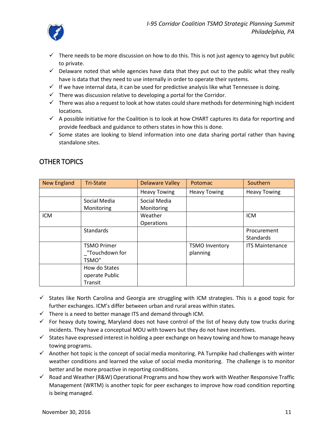

- $\checkmark$  There needs to be more discussion on how to do this. This is not just agency to agency but public to private.
- $\checkmark$  Delaware noted that while agencies have data that they put out to the public what they really have is data that they need to use internally in order to operate their systems.
- $\checkmark$  If we have internal data, it can be used for predictive analysis like what Tennessee is doing.
- $\checkmark$  There was discussion relative to developing a portal for the Corridor.
- $\checkmark$  There was also a request to look at how states could share methods for determining high incident locations.
- $\checkmark$  A possible initiative for the Coalition is to look at how CHART captures its data for reporting and provide feedback and guidance to others states in how this is done.
- $\checkmark$  Some states are looking to blend information into one data sharing portal rather than having standalone sites.

| <b>New England</b> | <b>Tri-State</b>   | <b>Delaware Valley</b> | Potomac               | Southern               |
|--------------------|--------------------|------------------------|-----------------------|------------------------|
|                    |                    | <b>Heavy Towing</b>    | <b>Heavy Towing</b>   | <b>Heavy Towing</b>    |
|                    | Social Media       | Social Media           |                       |                        |
|                    | Monitoring         | Monitoring             |                       |                        |
| <b>ICM</b>         |                    | Weather                |                       | <b>ICM</b>             |
|                    |                    | Operations             |                       |                        |
|                    | <b>Standards</b>   |                        |                       | Procurement            |
|                    |                    |                        |                       | Standards              |
|                    | <b>TSMO Primer</b> |                        | <b>TSMO Inventory</b> | <b>ITS Maintenance</b> |
|                    | "Touchdown for     |                        | planning              |                        |
|                    | <b>TSMO"</b>       |                        |                       |                        |
|                    | How do States      |                        |                       |                        |
|                    | operate Public     |                        |                       |                        |
|                    | Transit            |                        |                       |                        |

## <span id="page-10-0"></span>OTHER TOPICS

- $\checkmark$  States like North Carolina and Georgia are struggling with ICM strategies. This is a good topic for further exchanges. ICM's differ between urban and rural areas within states.
- $\checkmark$  There is a need to better manage ITS and demand through ICM.
- $\checkmark$  For heavy duty towing, Maryland does not have control of the list of heavy duty tow trucks during incidents. They have a conceptual MOU with towers but they do not have incentives.
- $\checkmark$  States have expressed interest in holding a peer exchange on heavy towing and how to manage heavy towing programs.
- $\checkmark$  Another hot topic is the concept of social media monitoring. PA Turnpike had challenges with winter weather conditions and learned the value of social media monitoring. The challenge is to monitor better and be more proactive in reporting conditions.
- $\checkmark$  Road and Weather (R&W) Operational Programs and how they work with Weather Responsive Traffic Management (WRTM) is another topic for peer exchanges to improve how road condition reporting is being managed.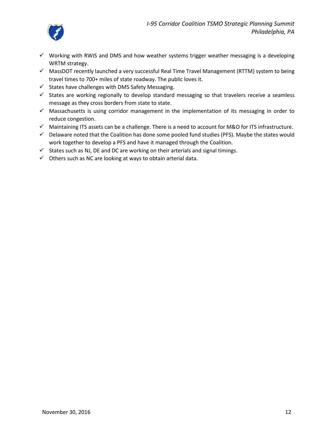

- $\checkmark$  Working with RWIS and DMS and how weather systems trigger weather messaging is a developing WRTM strategy.
- $\checkmark$  MassDOT recently launched a very successful Real Time Travel Management (RTTM) system to being travel times to 700+ miles of state roadway. The public loves it.
- $\checkmark$  States have challenges with DMS Safety Messaging.
- $\checkmark$  States are working regionally to develop standard messaging so that travelers receive a seamless message as they cross borders from state to state.
- $\checkmark$  Massachusetts is using corridor management in the implementation of its messaging in order to reduce congestion.
- $\checkmark$  Maintaining ITS assets can be a challenge. There is a need to account for M&O for ITS infrastructure.
- $\checkmark$  Delaware noted that the Coalition has done some pooled fund studies (PFS). Maybe the states would work together to develop a PFS and have it managed through the Coalition.
- $\checkmark$  States such as NJ, DE and DC are working on their arterials and signal timings.
- <span id="page-11-0"></span> $\checkmark$  Others such as NC are looking at ways to obtain arterial data.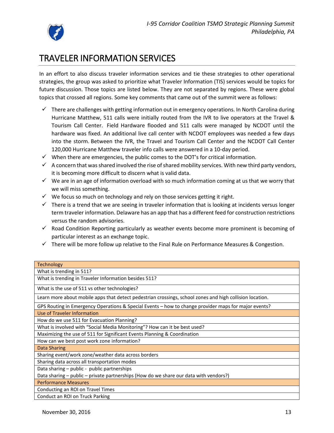

# TRAVELER INFORMATION SERVICES

In an effort to also discuss traveler information services and tie these strategies to other operational strategies, the group was asked to prioritize what Traveler Information (TIS) services would be topics for future discussion. Those topics are listed below. They are not separated by regions. These were global topics that crossed all regions. Some key comments that came out of the summit were as follows:

- $\checkmark$  There are challenges with getting information out in emergency operations. In North Carolina during Hurricane Matthew, 511 calls were initially routed from the IVR to live operators at the Travel & Tourism Call Center. Field Hardware flooded and 511 calls were managed by NCDOT until the hardware was fixed. An additional live call center with NCDOT employees was needed a few days into the storm. Between the IVR, the Travel and Tourism Call Center and the NCDOT Call Center 120,000 Hurricane Matthew traveler info calls were answered in a 10-day period.
- $\checkmark$  When there are emergencies, the public comes to the DOT's for critical information.
- $\checkmark$  A concern that was shared involved the rise of shared mobility services. With new third party vendors, it is becoming more difficult to discern what is valid data.
- $\checkmark$  We are in an age of information overload with so much information coming at us that we worry that we will miss something.
- $\checkmark$  We focus so much on technology and rely on those services getting it right.
- $\checkmark$  There is a trend that we are seeing in traveler information that is looking at incidents versus longer term traveler information. Delaware has an app that has a different feed for construction restrictions versus the random advisories.
- $\checkmark$  Road Condition Reporting particularly as weather events become more prominent is becoming of particular interest as an exchange topic.
- $\checkmark$  There will be more follow up relative to the Final Rule on Performance Measures & Congestion.

| <b>Technology</b>                                                                                        |
|----------------------------------------------------------------------------------------------------------|
| What is trending in 511?                                                                                 |
| What is trending in Traveler Information besides 511?                                                    |
| What is the use of 511 vs other technologies?                                                            |
| Learn more about mobile apps that detect pedestrian crossings, school zones and high collision location. |
| GPS Routing in Emergency Operations & Special Events – how to change provider maps for major events?     |
| Use of Traveler Information                                                                              |
| How do we use 511 for Evacuation Planning?                                                               |
| What is involved with "Social Media Monitoring"? How can it be best used?                                |
| Maximizing the use of 511 for Significant Events Planning & Coordination                                 |
| How can we best post work zone information?                                                              |
| <b>Data Sharing</b>                                                                                      |
| Sharing event/work zone/weather data across borders                                                      |
| Sharing data across all transportation modes                                                             |
| Data sharing – public - public partnerships                                                              |
| Data sharing - public - private partnerships (How do we share our data with vendors?)                    |
| <b>Performance Measures</b>                                                                              |
| Conducting an ROI on Travel Times                                                                        |
| Conduct an ROI on Truck Parking                                                                          |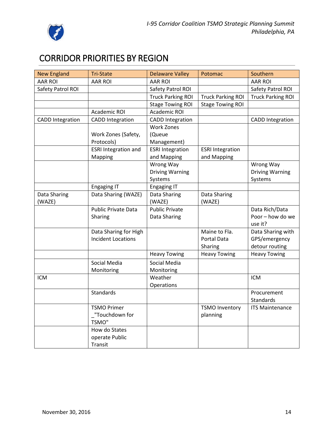

# <span id="page-13-0"></span>CORRIDOR PRIORITIES BY REGION

| <b>New England</b>      | <b>Tri-State</b>            | <b>Delaware Valley</b>   | Potomac                  | Southern                 |
|-------------------------|-----------------------------|--------------------------|--------------------------|--------------------------|
| <b>AAR ROI</b>          | <b>AAR ROI</b>              | <b>AAR ROI</b>           |                          | <b>AAR ROI</b>           |
| Safety Patrol ROI       |                             | Safety Patrol ROI        |                          | Safety Patrol ROI        |
|                         |                             | <b>Truck Parking ROI</b> | <b>Truck Parking ROI</b> | <b>Truck Parking ROI</b> |
|                         |                             | <b>Stage Towing ROI</b>  | <b>Stage Towing ROI</b>  |                          |
|                         | Academic ROI                | <b>Academic ROI</b>      |                          |                          |
| <b>CADD</b> Integration | <b>CADD Integration</b>     | <b>CADD Integration</b>  |                          | <b>CADD Integration</b>  |
|                         |                             | <b>Work Zones</b>        |                          |                          |
|                         | Work Zones (Safety,         | (Queue                   |                          |                          |
|                         | Protocols)                  | Management)              |                          |                          |
|                         | <b>ESRI Integration and</b> | <b>ESRI</b> Integration  | <b>ESRI Integration</b>  |                          |
|                         | Mapping                     | and Mapping              | and Mapping              |                          |
|                         |                             | Wrong Way                |                          | Wrong Way                |
|                         |                             | <b>Driving Warning</b>   |                          | <b>Driving Warning</b>   |
|                         |                             | Systems                  |                          | Systems                  |
|                         | <b>Engaging IT</b>          | <b>Engaging IT</b>       |                          |                          |
| Data Sharing            | Data Sharing (WAZE)         | Data Sharing             | Data Sharing             |                          |
| (WAZE)                  |                             | (WAZE)                   | (WAZE)                   |                          |
|                         | Public Private Data         | <b>Public Private</b>    |                          | Data Rich/Data           |
|                         | Sharing                     | Data Sharing             |                          | Poor - how do we         |
|                         |                             |                          |                          | use it?                  |
|                         | Data Sharing for High       |                          | Maine to Fla.            | Data Sharing with        |
|                         | <b>Incident Locations</b>   |                          | Portal Data              | GPS/emergency            |
|                         |                             |                          | Sharing                  | detour routing           |
|                         |                             | <b>Heavy Towing</b>      | <b>Heavy Towing</b>      | <b>Heavy Towing</b>      |
|                         | Social Media                | Social Media             |                          |                          |
|                         | Monitoring                  | Monitoring               |                          |                          |
| <b>ICM</b>              |                             | Weather                  |                          | ICM                      |
|                         |                             | Operations               |                          |                          |
|                         | <b>Standards</b>            |                          |                          | Procurement              |
|                         |                             |                          |                          | Standards                |
|                         | <b>TSMO Primer</b>          |                          | <b>TSMO Inventory</b>    | <b>ITS Maintenance</b>   |
|                         | _"Touchdown for             |                          | planning                 |                          |
|                         | <b>TSMO"</b>                |                          |                          |                          |
|                         | How do States               |                          |                          |                          |
|                         | operate Public              |                          |                          |                          |
|                         | Transit                     |                          |                          |                          |